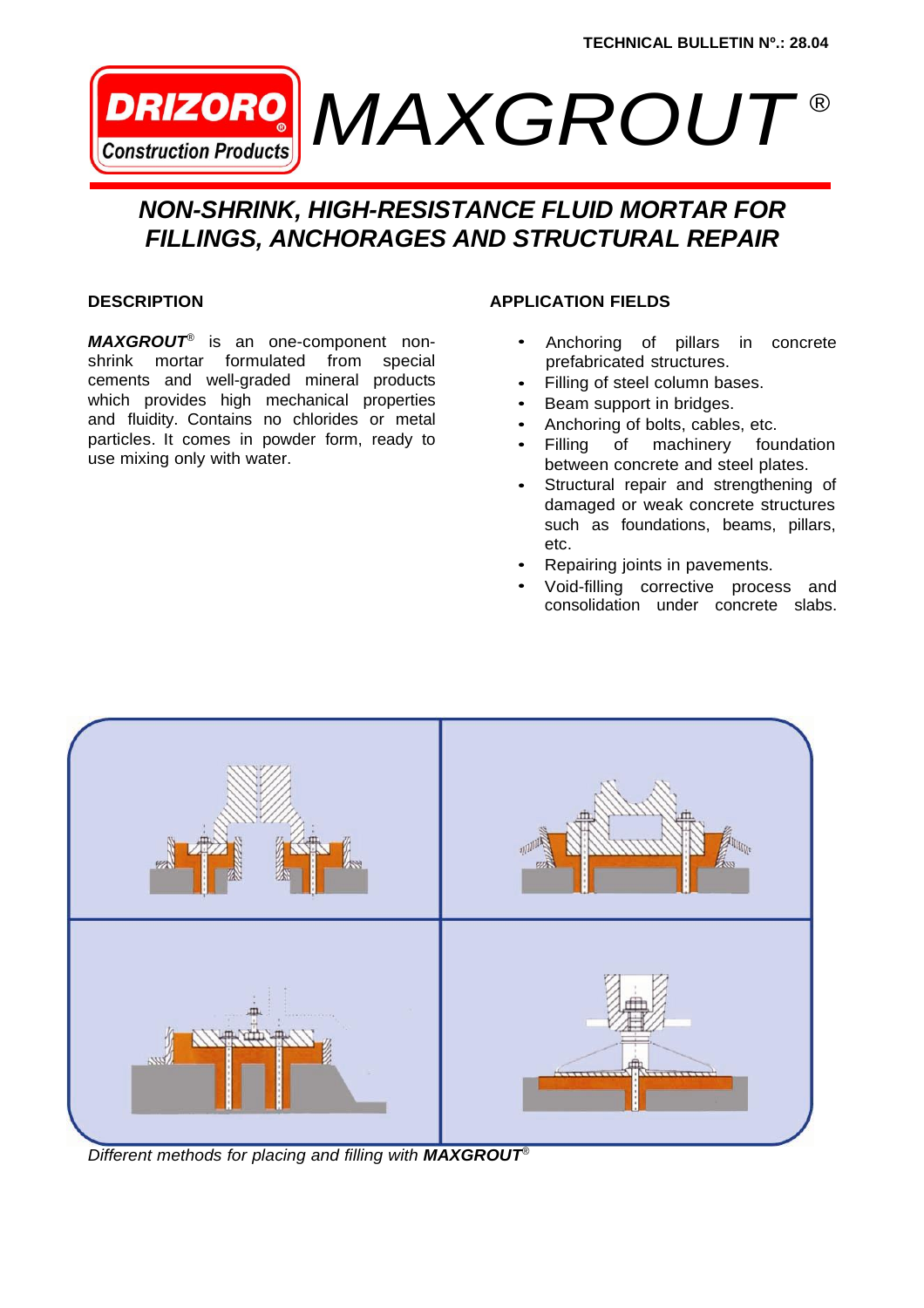

# *NON-SHRINK, HIGH-RESISTANCE FLUID MORTAR FOR FILLINGS, ANCHORAGES AND STRUCTURAL REPAIR*

### **DESCRIPTION**

*MAXGROUT ®* is an one-component nonshrink mortar formulated from special cements and well-graded mineral products which provides high mechanical properties and fluidity. Contains no chlorides or metal particles. It comes in powder form, ready to use mixing only with water.

### **APPLICATION FIELDS**

- Anchoring of pillars in concrete prefabricated structures. •
- Filling of steel column bases. •
- Beam support in bridges. •
- Anchoring of bolts, cables, etc. •
- Filling of machinery foundation between concrete and steel plates. •
- Structural repair and strengthening of damaged or weak concrete structures such as foundations, beams, pillars, etc. •
- Repairing joints in pavements. •
- Void-filling corrective process and consolidation under concrete slabs. •



*Different methods for placing and filling with MAXGROUT®*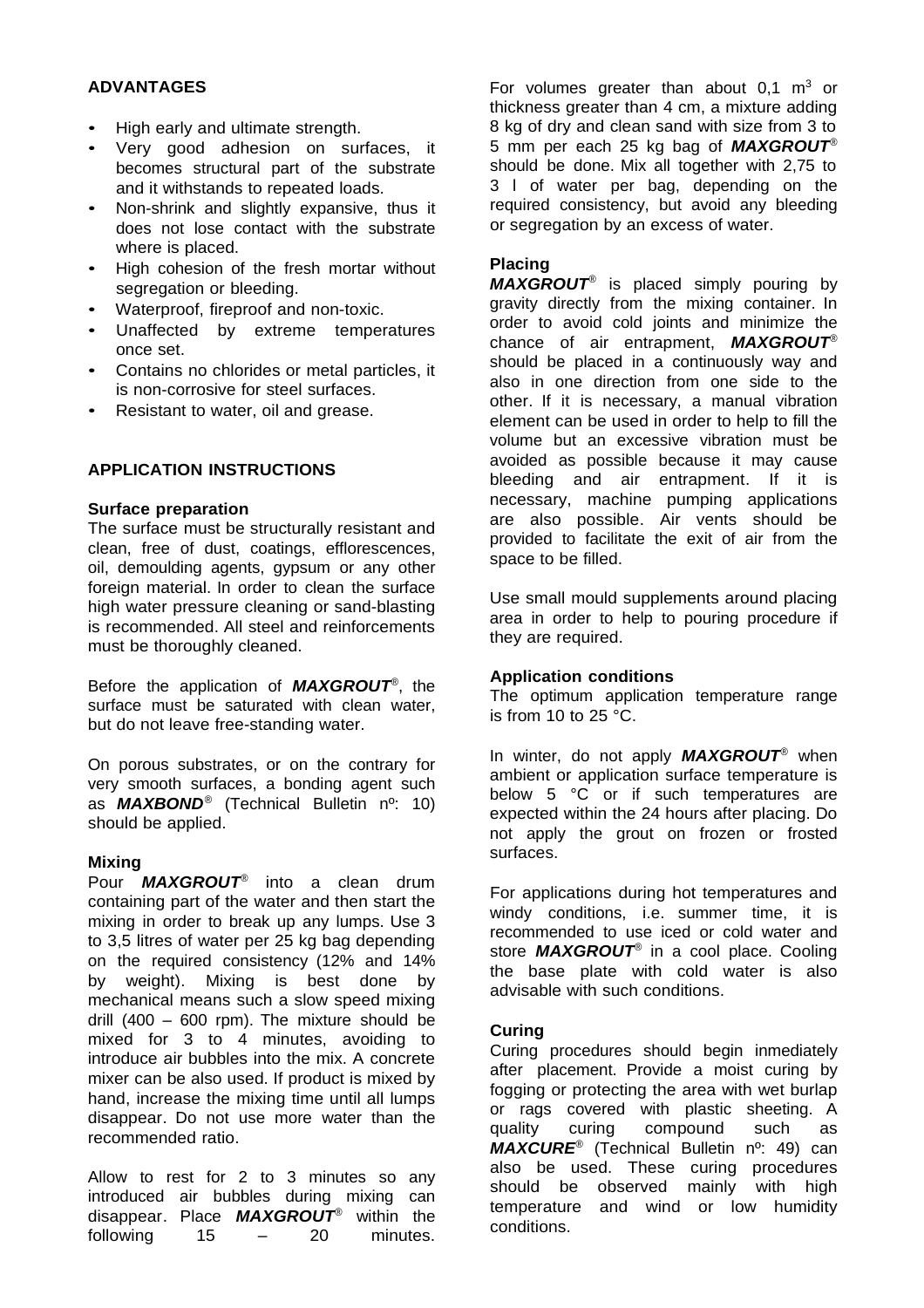### **ADVANTAGES**

- High early and ultimate strength.
- Very good adhesion on surfaces, it becomes structural part of the substrate and it withstands to repeated loads.
- Non-shrink and slightly expansive, thus it does not lose contact with the substrate where is placed.
- High cohesion of the fresh mortar without segregation or bleeding.
- Waterproof, fireproof and non-toxic.
- Unaffected by extreme temperatures once set.
- Contains no chlorides or metal particles, it is non-corrosive for steel surfaces.
- Resistant to water, oil and grease.

## **APPLICATION INSTRUCTIONS**

#### **Surface preparation**

The surface must be structurally resistant and clean, free of dust, coatings, efflorescences, oil, demoulding agents, gypsum or any other foreign material. In order to clean the surface high water pressure cleaning or sand-blasting is recommended. All steel and reinforcements must be thoroughly cleaned.

Before the application of *MAXGROUT ®* , the surface must be saturated with clean water, but do not leave free-standing water.

On porous substrates, or on the contrary for very smooth surfaces, a bonding agent such as *MAXBOND ®* (Technical Bulletin nº: 10) should be applied.

#### **Mixing**

Pour *MAXGROUT ®* into a clean drum containing part of the water and then start the mixing in order to break up any lumps. Use 3 to 3,5 litres of water per 25 kg bag depending on the required consistency (12% and 14% by weight). Mixing is best done by mechanical means such a slow speed mixing drill (400 – 600 rpm). The mixture should be mixed for 3 to 4 minutes, avoiding to introduce air bubbles into the mix. A concrete mixer can be also used. If product is mixed by hand, increase the mixing time until all lumps disappear. Do not use more water than the recommended ratio.

Allow to rest for 2 to 3 minutes so any introduced air bubbles during mixing can disappear. Place *MAXGROUT ®* within the following 15 – 20 minutes.

For volumes greater than about  $0.1 \text{ m}^3$  or thickness greater than 4 cm, a mixture adding 8 kg of dry and clean sand with size from 3 to 5 mm per each 25 kg bag of *MAXGROUT ®* should be done. Mix all together with 2,75 to 3 l of water per bag, depending on the required consistency, but avoid any bleeding or segregation by an excess of water.

## **Placing**

*MAXGROUT ®* is placed simply pouring by gravity directly from the mixing container. In order to avoid cold joints and minimize the chance of air entrapment, *MAXGROUT ®* should be placed in a continuously way and also in one direction from one side to the other. If it is necessary, a manual vibration element can be used in order to help to fill the volume but an excessive vibration must be avoided as possible because it may cause bleeding and air entrapment. If it is necessary, machine pumping applications are also possible. Air vents should be provided to facilitate the exit of air from the space to be filled.

Use small mould supplements around placing area in order to help to pouring procedure if they are required.

## **Application conditions**

The optimum application temperature range is from 10 to 25 °C.

In winter, do not apply *MAXGROUT ®* when ambient or application surface temperature is below 5 °C or if such temperatures are expected within the 24 hours after placing. Do not apply the grout on frozen or frosted surfaces.

For applications during hot temperatures and windy conditions, i.e. summer time, it is recommended to use iced or cold water and store *MAXGROUT ®* in a cool place. Cooling the base plate with cold water is also advisable with such conditions.

#### **Curing**

Curing procedures should begin inmediately after placement. Provide a moist curing by fogging or protecting the area with wet burlap or rags covered with plastic sheeting. A quality curing compound such as *MAXCURE ®* (Technical Bulletin nº: 49) can also be used. These curing procedures should be observed mainly with high temperature and wind or low humidity conditions.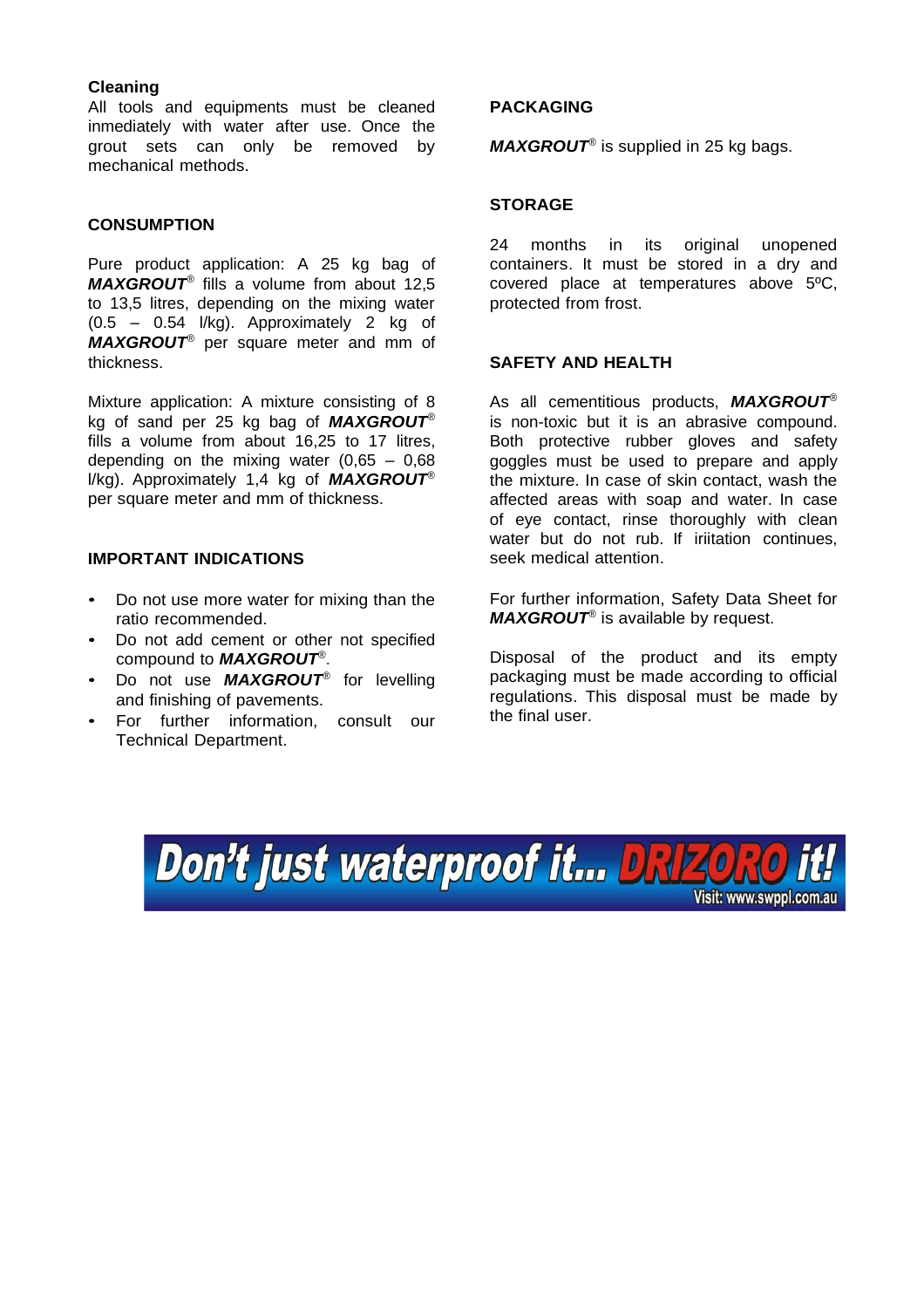### **Cleaning**

All tools and equipments must be cleaned inmediately with water after use. Once the grout sets can only be removed by mechanical methods.

### **CONSUMPTION**

Pure product application: A 25 kg bag of *MAXGROUT ®* fills a volume from about 12,5 to 13,5 litres, depending on the mixing water (0.5 – 0.54 l/kg). Approximately 2 kg of *MAXGROUT ®* per square meter and mm of thickness.

Mixture application: A mixture consisting of 8 kg of sand per 25 kg bag of *MAXGROUT ®* fills a volume from about 16,25 to 17 litres, depending on the mixing water  $(0,65 - 0,68)$ l/kg). Approximately 1,4 kg of *MAXGROUT ®* per square meter and mm of thickness.

### **IMPORTANT INDICATIONS**

- Do not use more water for mixing than the ratio recommended.
- Do not add cement or other not specified compound to *MAXGROUT ®* .
- Do not use *MAXGROUT ®* for levelling and finishing of pavements.
- For further information, consult our Technical Department.

#### **PACKAGING**

*MAXGROUT ®* is supplied in 25 kg bags.

#### **STORAGE**

24 months in its original unopened containers. It must be stored in a dry and covered place at temperatures above 5ºC, protected from frost.

### **SAFETY AND HEALTH**

As all cementitious products, *MAXGROUT ®* is non-toxic but it is an abrasive compound. Both protective rubber gloves and safety goggles must be used to prepare and apply the mixture. In case of skin contact, wash the affected areas with soap and water. In case of eye contact, rinse thoroughly with clean water but do not rub. If iriitation continues, seek medical attention.

For further information, Safety Data Sheet for *MAXGROUT ®* is available by request.

Disposal of the product and its empty packaging must be made according to official regulations. This disposal must be made by the final user.